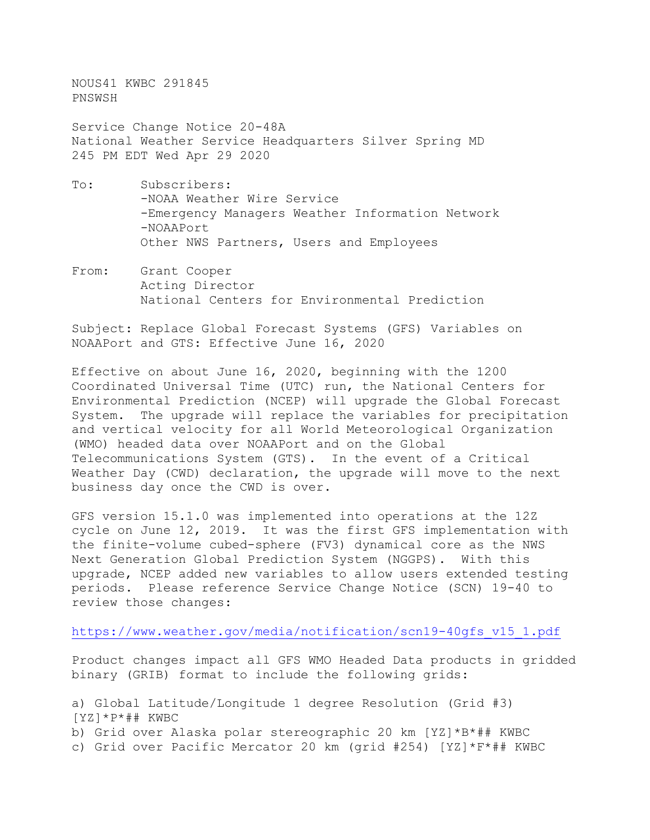NOUS41 KWBC 291845 PNSWSH

Service Change Notice 20-48A National Weather Service Headquarters Silver Spring MD 245 PM EDT Wed Apr 29 2020

- To: Subscribers: -NOAA Weather Wire Service -Emergency Managers Weather Information Network -NOAAPort Other NWS Partners, Users and Employees
- From: Grant Cooper Acting Director National Centers for Environmental Prediction

Subject: Replace Global Forecast Systems (GFS) Variables on NOAAPort and GTS: Effective June 16, 2020

Effective on about June 16, 2020, beginning with the 1200 Coordinated Universal Time (UTC) run, the National Centers for Environmental Prediction (NCEP) will upgrade the Global Forecast System. The upgrade will replace the variables for precipitation and vertical velocity for all World Meteorological Organization (WMO) headed data over NOAAPort and on the Global Telecommunications System (GTS). In the event of a Critical Weather Day (CWD) declaration, the upgrade will move to the next business day once the CWD is over.

GFS version 15.1.0 was implemented into operations at the 12Z cycle on June 12, 2019. It was the first GFS implementation with the finite-volume cubed-sphere (FV3) dynamical core as the NWS Next Generation Global Prediction System (NGGPS). With this upgrade, NCEP added new variables to allow users extended testing periods. Please reference Service Change Notice (SCN) 19-40 to review those changes:

[https://www.weather.gov/media/notification/scn19-40gfs\\_v15\\_1.pdf](https://www.weather.gov/media/notification/scn19-40gfs_v15_1.pdf)

Product changes impact all GFS WMO Headed Data products in gridded binary (GRIB) format to include the following grids:

a) Global Latitude/Longitude 1 degree Resolution (Grid #3) [YZ]\*P\*## KWBC b) Grid over Alaska polar stereographic 20 km [YZ]\*B\*## KWBC c) Grid over Pacific Mercator 20 km (grid #254) [YZ]\*F\*## KWBC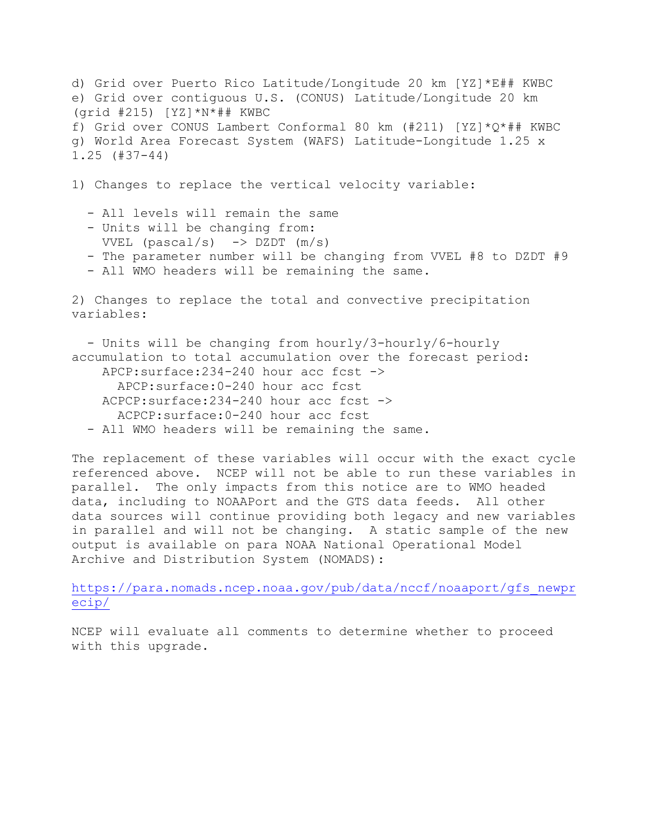d) Grid over Puerto Rico Latitude/Longitude 20 km [YZ]\*E## KWBC e) Grid over contiguous U.S. (CONUS) Latitude/Longitude 20 km  $(grid #215) [YZ]*N*## KWBC$ f) Grid over CONUS Lambert Conformal 80 km (#211) [YZ]\*Q\*## KWBC g) World Area Forecast System (WAFS) Latitude-Longitude 1.25 x 1.25 (#37-44)

1) Changes to replace the vertical velocity variable:

- All levels will remain the same
- Units will be changing from: VVEL (pascal/s)  $\rightarrow$  DZDT (m/s)
- The parameter number will be changing from VVEL #8 to DZDT #9
- All WMO headers will be remaining the same.

2) Changes to replace the total and convective precipitation variables:

 - Units will be changing from hourly/3-hourly/6-hourly accumulation to total accumulation over the forecast period: APCP:surface:234-240 hour acc fcst -> APCP:surface:0-240 hour acc fcst ACPCP:surface:234-240 hour acc fcst -> ACPCP:surface:0-240 hour acc fcst - All WMO headers will be remaining the same.

The replacement of these variables will occur with the exact cycle referenced above. NCEP will not be able to run these variables in parallel. The only impacts from this notice are to WMO headed data, including to NOAAPort and the GTS data feeds. All other data sources will continue providing both legacy and new variables in parallel and will not be changing. A static sample of the new output is available on para NOAA National Operational Model Archive and Distribution System (NOMADS):

[https://para.nomads.ncep.noaa.gov/pub/data/nccf/noaaport/gfs\\_newpr](https://para.nomads.ncep.noaa.gov/pub/data/nccf/noaaport/gfs_newprecip/) [ecip/](https://para.nomads.ncep.noaa.gov/pub/data/nccf/noaaport/gfs_newprecip/)

NCEP will evaluate all comments to determine whether to proceed with this upgrade.